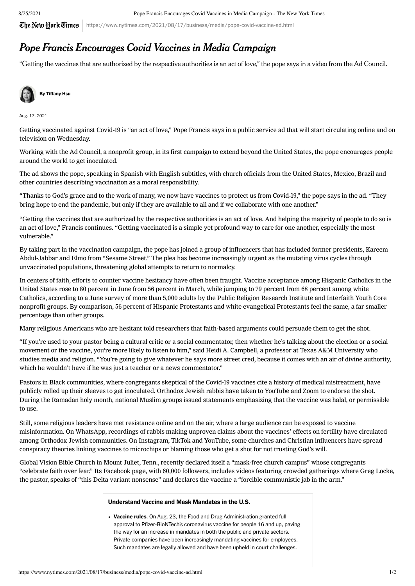## 8/25/2021 Pope Francis Encourages Covid Vaccines in Media Campaign - The New York Times

 $\mathbb{C}$ he New Hork  $\mathbb{C}$ imes | https://www.nytimes.com/2021/08/17/business/media/pope-covid-vaccine-ad.html

## Pope Francis Encourages Covid Vaccines in Media Campaign

"Getting the vaccines that are authorized by the respective authorities is an act of love," the pope says in a video from the Ad Council.



Aug. 17, 2021

Getting vaccinated against Covid-19 is "an act of love," Pope Francis says in a public [service](https://www.youtube.com/watch?v=zY5rwTnJF0U) ad that will start circulating online and on television on Wednesday.

Working with the Ad Council, a nonprofit group, in its first campaign to extend beyond the United States, the pope encourages people around the world to get inoculated.

The ad shows the pope, speaking in Spanish with English subtitles, with church officials from the United States, Mexico, Brazil and other countries describing vaccination as a moral responsibility.

"Thanks to God's grace and to the work of many, we now have vaccines to protect us from Covid-19," the pope says in the ad. "They bring hope to end the pandemic, but only if they are available to all and if we collaborate with one another."

"Getting the vaccines that are authorized by the respective authorities is an act of love. And helping the majority of people to do so is an act of love," Francis continues. "Getting vaccinated is a simple yet profound way to care for one another, especially the most vulnerable."

By taking part in the vaccination campaign, the pope has joined a group of influencers that has included former presidents, Kareem Abdul-Jabbar and Elmo from "Sesame Street." The plea has become increasingly urgent as the mutating virus cycles through unvaccinated populations, threatening global attempts to return to normalcy.

In centers of faith, efforts to counter vaccine hesitancy have often been [fraught.](https://www.nytimes.com/2021/04/30/health/covid-vaccine-hesitancy-white-republican.html) Vaccine acceptance among Hispanic Catholics in the United States rose to 80 percent in June from 56 percent in March, while jumping to 79 percent from 68 percent among white Catholics, according to a June [survey](https://www.prri.org/research/religious-vaccines-covid-vaccination/) of more than 5,000 adults by the Public Religion Research Institute and Interfaith Youth Core nonprofit groups. By comparison, 56 percent of Hispanic Protestants and white evangelical Protestants feel the same, a far smaller percentage than other groups.

Many religious Americans who are hesitant told researchers that faith-based arguments could persuade them to get the shot.

"If you're used to your pastor being a cultural critic or a social commentator, then whether he's talking about the election or a social movement or the vaccine, you're more likely to listen to him," said Heidi A. Campbell, a professor at Texas A&M University who studies media and religion. "You're going to give whatever he says more street cred, because it comes with an air of divine authority, which he wouldn't have if he was just a teacher or a news commentator."

Pastors in Black communities, where congregants skeptical of the Covid-19 vaccines cite a history of medical mistreatment, have publicly rolled up their [sleeves](https://www.nytimes.com/interactive/2021/03/10/nyregion/harlem-church-vaccine.html) to get inoculated. Orthodox Jewish rabbis have taken to YouTube and Zoom to [endorse](https://thejewishnews.com/2021/07/19/doctors-who-are-also-rabbis-recommend-covid-19-vaccines-its-a-mitzvah/) the shot. During the Ramadan holy month, national Muslim groups issued statements emphasizing that the [vaccine](https://imana.org/imana-backup/wp-content/uploads/2020/02/NMTF-NBMCC-final-Ramadan-statement-v2-1.pdf) was halal, or permissible to use.

Still, some religious leaders have met resistance online and on the air, where a large audience can be exposed to vaccine [misinformation.](https://www.nytimes.com/2021/03/10/technology/vaccine-misinformation.html) On WhatsApp, recordings of rabbis making [unproven](https://www.nytimes.com/2021/06/11/nyregion/orthodox-jewish-vaccinations.html) claims about the vaccines' effects on [fertility](https://apnews.com/article/public-health-massachusetts-coronavirus-pandemic-e5c24eb21e09fd4b9af3f047c8c0fb7d) have circulated among Orthodox Jewish [communities.](https://www.ny1.com/nyc/all-boroughs/news/2021/02/11/orthodox-community-faces-down-misinformation-in-vaccine-education-efforts) On Instagram, TikTok and YouTube, some churches and Christian influencers have spread [conspiracy](https://www.washingtonpost.com/technology/2021/02/16/covid-vaccine-misinformation-evangelical-mark-beast/) theories linking vaccines to microchips or blaming those who get a shot for not trusting God's will.

Global Vision Bible Church in Mount Juliet, Tenn., recently declared itself a "mask-free church campus" whose congregants "celebrate faith over fear." Its Facebook page, with 60,000 followers, includes videos featuring crowded gatherings where Greg Locke, the pastor, speaks of "this Delta variant nonsense" and declares the vaccine a "forcible communistic jab in the arm."

## Understand Vaccine and Mask Mandates in the U.S.

• Vaccine rules. [On Aug. 23, the Food and Drug Administration granted full](https://www.nytimes.com/2021/08/23/us/politics/fda-approval-pfizer-vaccine.html?action=click&pgtype=Article&state=default&module=styln-coronavirus®ion=MAIN_CONTENT_3&context=storylines-godeep) approval to Pfizer-BioNTech's coronavirus vaccine for people 16 and up, paving the way for an increase in mandates in both the public and private sectors. Private companies have been [increasingly mandating vaccines](https://www.nytimes.com/live/2021/08/11/business/economy-stock-market-news/how-companies-are-diverging-on-virus-mandates-in-the-workplace?action=click&pgtype=Article&state=default&module=styln-coronavirus®ion=MAIN_CONTENT_3&context=storylines-godeep) for employees. Such mandates are [legally allowed](https://nl.nytimes.com/f/a/pV1usHOWj-_LzIwpCee9Mw~~/AAAAAQA~/RgRi9jvMP0TMaHR0cHM6Ly93d3cubnl0aW1lcy5jb20vYXJ0aWNsZS9jb3ZpZC12YWNjaW5lLW1hbmRhdGVzLmh0bWw_Y2FtcGFpZ25faWQ9NCZlbWM9ZWRpdF9ka18yMDIxMDgxMSZpbnN0YW5jZV9pZD0zNzYyNyZubD1kZWFsYm9vayZyZWdpX2lkPTM4OTg1MTUxJnNlZ21lbnRfaWQ9NjU5MTYmdGU9MSZ1c2VyX2lkPTM4YThiNWNmZTAxY2NjYzIwODcyNzlmYzNhZjQ1MjhlVwNueXRCCmERzLYTYVpIS_1SFGdzY2htaWR0QG55dGltZXMuY29tWAQAAAAA) and have been upheld in court challenges.